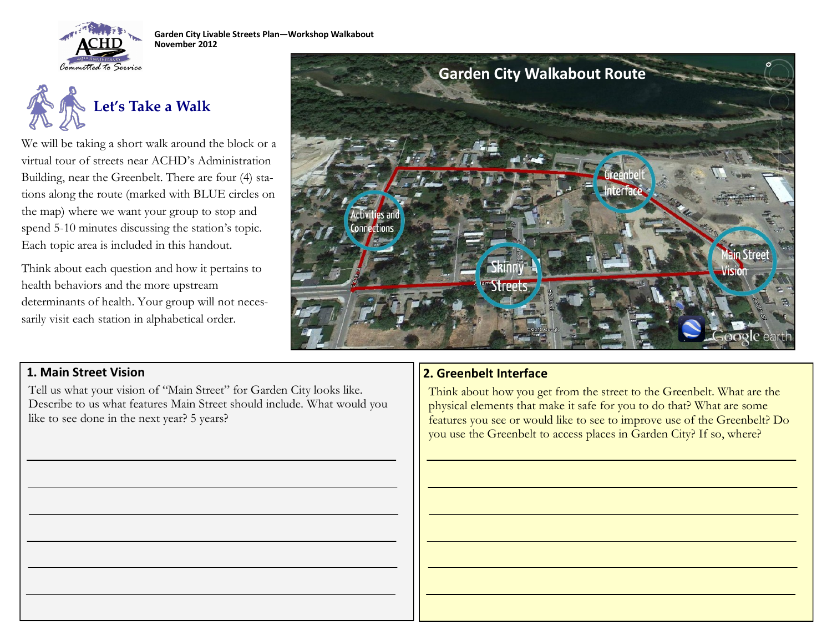



We will be taking a short walk around the block or a virtual tour of streets near ACHD's Administration Building, near the Greenbelt. There are four (4) stations along the route (marked with BLUE circles on the map) where we want your group to stop and spend 5-10 minutes discussing the station's topic. Each topic area is included in this handout.

Think about each question and how it pertains to health behaviors and the more upstream determinants of health. Your group will not necessarily visit each station in alphabetical order.



Tell us what your vision of "Main Street" for Garden City looks like. Describe to us what features Main Street should include. What would you like to see done in the next year? 5 years?

## **1. Main Street Vision 2. Greenbelt Interface**

Think about how you get from the street to the Greenbelt. What are the physical elements that make it safe for you to do that? What are some features you see or would like to see to improve use of the Greenbelt? Do you use the Greenbelt to access places in Garden City? If so, where?